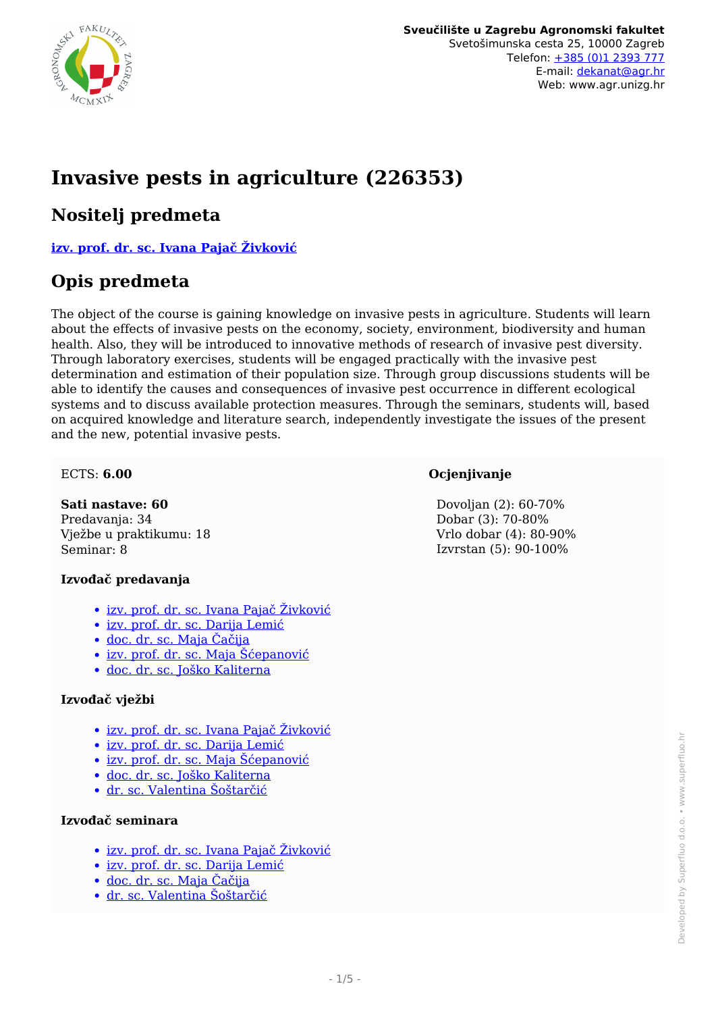

# **Invasive pests in agriculture (226353)**

### **Nositelj predmeta**

**[izv. prof. dr. sc. Ivana Pajač Živković](/hr/member/256)**

### **Opis predmeta**

The object of the course is gaining knowledge on invasive pests in agriculture. Students will learn about the effects of invasive pests on the economy, society, environment, biodiversity and human health. Also, they will be introduced to innovative methods of research of invasive pest diversity. Through laboratory exercises, students will be engaged practically with the invasive pest determination and estimation of their population size. Through group discussions students will be able to identify the causes and consequences of invasive pest occurrence in different ecological systems and to discuss available protection measures. Through the seminars, students will, based on acquired knowledge and literature search, independently investigate the issues of the present and the new, potential invasive pests.

#### ECTS: **6.00**

**Sati nastave: 60** Predavanja: 34 Vježbe u praktikumu: 18 Seminar: 8

#### **Izvođač predavanja**

- <u>• [izv. prof. dr. sc. Ivana Pajač Živković](/hr/member/256)</u>
- [izv. prof. dr. sc. Darija Lemić](/hr/member/206)
- [doc. dr. sc. Maja Čačija](/hr/member/158)
- [izv. prof. dr. sc. Maja Šćepanović](/hr/member/125)
- [doc. dr. sc. Joško Kaliterna](/hr/member/197)

#### **Izvođač vježbi**

- [izv. prof. dr. sc. Ivana Pajač Živković](/hr/member/256)
- [izv. prof. dr. sc. Darija Lemić](/hr/member/206)
- [izv. prof. dr. sc. Maja Šćepanović](/hr/member/125)
- [doc. dr. sc. Joško Kaliterna](/hr/member/197)
- [dr. sc. Valentina Šoštarčić](/hr/member/332)

#### **Izvođač seminara**

- [izv. prof. dr. sc. Ivana Pajač Živković](/hr/member/256)
- [izv. prof. dr. sc. Darija Lemić](/hr/member/206)
- [doc. dr. sc. Maja Čačija](/hr/member/158)
- [dr. sc. Valentina Šoštarčić](/hr/member/332)

#### **Ocjenjivanje**

 Dovoljan (2): 60-70% Dobar (3): 70-80% Vrlo dobar (4): 80-90% Izvrstan (5): 90-100%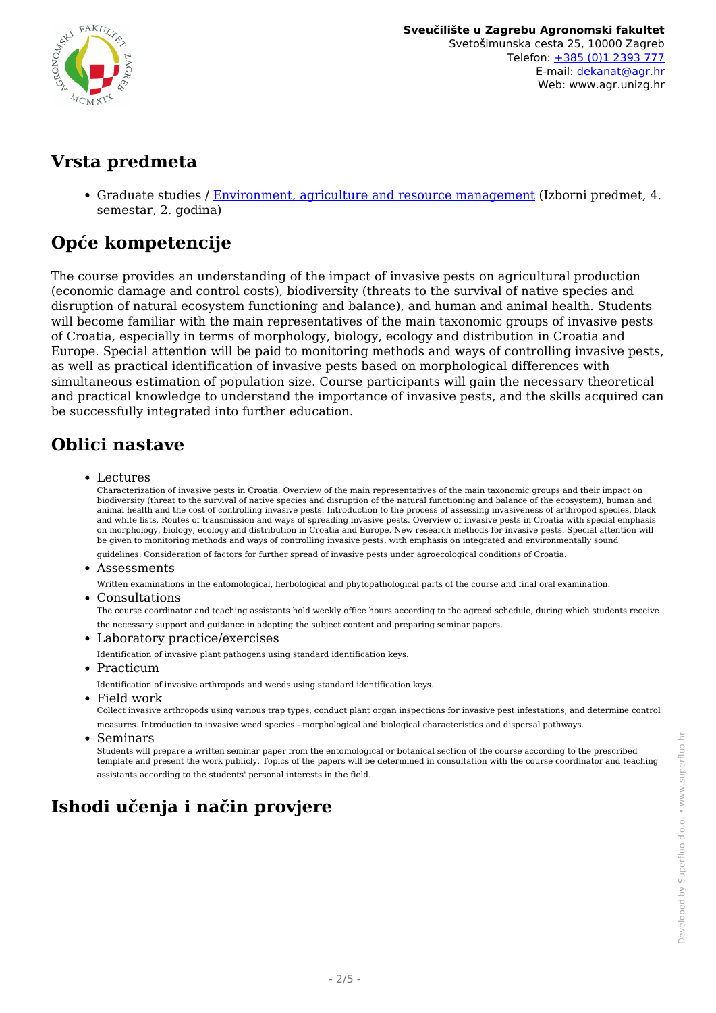

## **Vrsta predmeta**

Graduate studies / [Environment, agriculture and resource management](/hr/study/en/3/Environment%2C+agriculture+and+resource+management) (Izborni predmet, 4. semestar, 2. godina)

# **Opće kompetencije**

The course provides an understanding of the impact of invasive pests on agricultural production (economic damage and control costs), biodiversity (threats to the survival of native species and disruption of natural ecosystem functioning and balance), and human and animal health. Students will become familiar with the main representatives of the main taxonomic groups of invasive pests of Croatia, especially in terms of morphology, biology, ecology and distribution in Croatia and Europe. Special attention will be paid to monitoring methods and ways of controlling invasive pests, as well as practical identification of invasive pests based on morphological differences with simultaneous estimation of population size. Course participants will gain the necessary theoretical and practical knowledge to understand the importance of invasive pests, and the skills acquired can be successfully integrated into further education.

## **Oblici nastave**

Lectures

Characterization of invasive pests in Croatia. Overview of the main representatives of the main taxonomic groups and their impact on biodiversity (threat to the survival of native species and disruption of the natural functioning and balance of the ecosystem), human and animal health and the cost of controlling invasive pests. Introduction to the process of assessing invasiveness of arthropod species, black and white lists. Routes of transmission and ways of spreading invasive pests. Overview of invasive pests in Croatia with special emphasis on morphology, biology, ecology and distribution in Croatia and Europe. New research methods for invasive pests. Special attention will be given to monitoring methods and ways of controlling invasive pests, with emphasis on integrated and environmentally sound

guidelines. Consideration of factors for further spread of invasive pests under agroecological conditions of Croatia.

Assessments

Written examinations in the entomological, herbological and phytopathological parts of the course and final oral examination.

Consultations

The course coordinator and teaching assistants hold weekly office hours according to the agreed schedule, during which students receive the necessary support and guidance in adopting the subject content and preparing seminar papers.

Laboratory practice/exercises

Identification of invasive plant pathogens using standard identification keys.

• Practicum

Identification of invasive arthropods and weeds using standard identification keys.

Field work

Collect invasive arthropods using various trap types, conduct plant organ inspections for invasive pest infestations, and determine control measures. Introduction to invasive weed species - morphological and biological characteristics and dispersal pathways.

• Seminars

Students will prepare a written seminar paper from the entomological or botanical section of the course according to the prescribed template and present the work publicly. Topics of the papers will be determined in consultation with the course coordinator and teaching assistants according to the students' personal interests in the field.

# **Ishodi učenja i način provjere**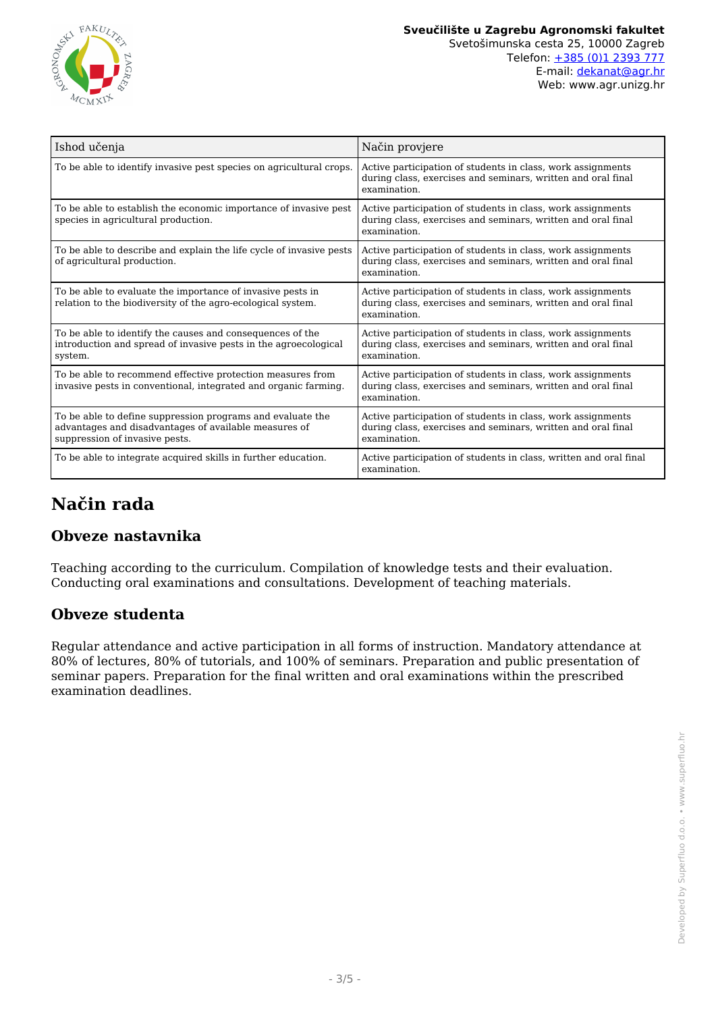

| Ishod učenja                                                                                                                                          | Način provjere                                                                                                                              |
|-------------------------------------------------------------------------------------------------------------------------------------------------------|---------------------------------------------------------------------------------------------------------------------------------------------|
| To be able to identify invasive pest species on agricultural crops.                                                                                   | Active participation of students in class, work assignments<br>during class, exercises and seminars, written and oral final<br>examination. |
| To be able to establish the economic importance of invasive pest<br>species in agricultural production.                                               | Active participation of students in class, work assignments<br>during class, exercises and seminars, written and oral final<br>examination. |
| To be able to describe and explain the life cycle of invasive pests<br>of agricultural production.                                                    | Active participation of students in class, work assignments<br>during class, exercises and seminars, written and oral final<br>examination. |
| To be able to evaluate the importance of invasive pests in<br>relation to the biodiversity of the agro-ecological system.                             | Active participation of students in class, work assignments<br>during class, exercises and seminars, written and oral final<br>examination. |
| To be able to identify the causes and consequences of the<br>introduction and spread of invasive pests in the agroecological<br>system.               | Active participation of students in class, work assignments<br>during class, exercises and seminars, written and oral final<br>examination. |
| To be able to recommend effective protection measures from<br>invasive pests in conventional, integrated and organic farming.                         | Active participation of students in class, work assignments<br>during class, exercises and seminars, written and oral final<br>examination. |
| To be able to define suppression programs and evaluate the<br>advantages and disadvantages of available measures of<br>suppression of invasive pests. | Active participation of students in class, work assignments<br>during class, exercises and seminars, written and oral final<br>examination. |
| To be able to integrate acquired skills in further education.                                                                                         | Active participation of students in class, written and oral final<br>examination.                                                           |

# **Način rada**

### **Obveze nastavnika**

Teaching according to the curriculum. Compilation of knowledge tests and their evaluation. Conducting oral examinations and consultations. Development of teaching materials.

### **Obveze studenta**

Regular attendance and active participation in all forms of instruction. Mandatory attendance at 80% of lectures, 80% of tutorials, and 100% of seminars. Preparation and public presentation of seminar papers. Preparation for the final written and oral examinations within the prescribed examination deadlines.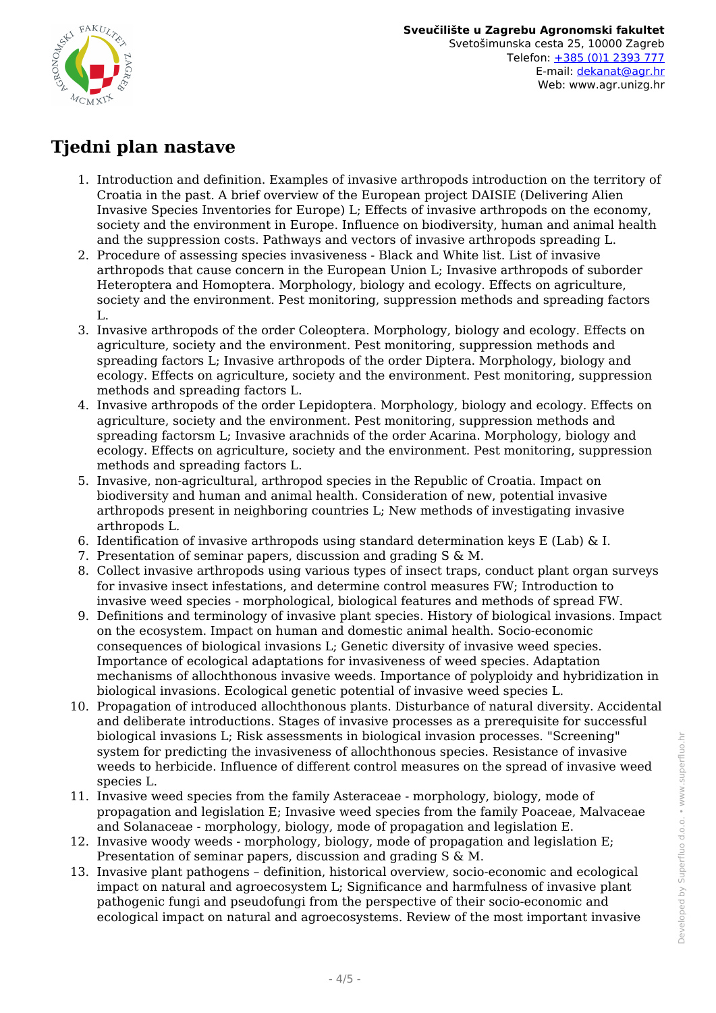

# **Tjedni plan nastave**

- 1. Introduction and definition. Examples of invasive arthropods introduction on the territory of Croatia in the past. A brief overview of the European project DAISIE (Delivering Alien Invasive Species Inventories for Europe) L; Effects of invasive arthropods on the economy, society and the environment in Europe. Influence on biodiversity, human and animal health and the suppression costs. Pathways and vectors of invasive arthropods spreading L.
- 2. Procedure of assessing species invasiveness Black and White list. List of invasive arthropods that cause concern in the European Union L; Invasive arthropods of suborder Heteroptera and Homoptera. Morphology, biology and ecology. Effects on agriculture, society and the environment. Pest monitoring, suppression methods and spreading factors  $L$ .
- 3. Invasive arthropods of the order Coleoptera. Morphology, biology and ecology. Effects on agriculture, society and the environment. Pest monitoring, suppression methods and spreading factors L; Invasive arthropods of the order Diptera. Morphology, biology and ecology. Effects on agriculture, society and the environment. Pest monitoring, suppression methods and spreading factors L.
- 4. Invasive arthropods of the order Lepidoptera. Morphology, biology and ecology. Effects on agriculture, society and the environment. Pest monitoring, suppression methods and spreading factorsm L; Invasive arachnids of the order Acarina. Morphology, biology and ecology. Effects on agriculture, society and the environment. Pest monitoring, suppression methods and spreading factors L.
- 5. Invasive, non-agricultural, arthropod species in the Republic of Croatia. Impact on biodiversity and human and animal health. Consideration of new, potential invasive arthropods present in neighboring countries L; New methods of investigating invasive arthropods L.
- 6. Identification of invasive arthropods using standard determination keys E (Lab)  $\&$  I.
- 7. Presentation of seminar papers, discussion and grading S & M.
- 8. Collect invasive arthropods using various types of insect traps, conduct plant organ surveys for invasive insect infestations, and determine control measures FW; Introduction to invasive weed species - morphological, biological features and methods of spread FW.
- 9. Definitions and terminology of invasive plant species. History of biological invasions. Impact on the ecosystem. Impact on human and domestic animal health. Socio-economic consequences of biological invasions L; Genetic diversity of invasive weed species. Importance of ecological adaptations for invasiveness of weed species. Adaptation mechanisms of allochthonous invasive weeds. Importance of polyploidy and hybridization in biological invasions. Ecological genetic potential of invasive weed species L.
- 10. Propagation of introduced allochthonous plants. Disturbance of natural diversity. Accidental and deliberate introductions. Stages of invasive processes as a prerequisite for successful biological invasions L; Risk assessments in biological invasion processes. "Screening" system for predicting the invasiveness of allochthonous species. Resistance of invasive weeds to herbicide. Influence of different control measures on the spread of invasive weed species L.
- 11. Invasive weed species from the family Asteraceae morphology, biology, mode of propagation and legislation E; Invasive weed species from the family Poaceae, Malvaceae and Solanaceae - morphology, biology, mode of propagation and legislation E.
- 12. Invasive woody weeds morphology, biology, mode of propagation and legislation E; Presentation of seminar papers, discussion and grading S & M.
- 13. Invasive plant pathogens definition, historical overview, socio-economic and ecological impact on natural and agroecosystem L; Significance and harmfulness of invasive plant pathogenic fungi and pseudofungi from the perspective of their socio-economic and ecological impact on natural and agroecosystems. Review of the most important invasive